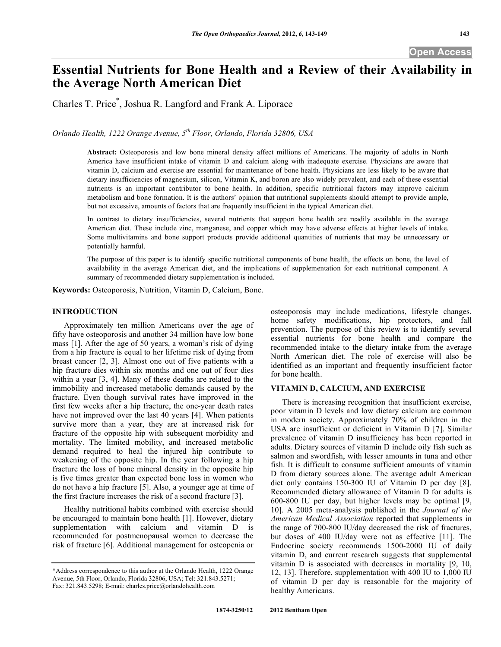# **Essential Nutrients for Bone Health and a Review of their Availability in the Average North American Diet**

Charles T. Price\* , Joshua R. Langford and Frank A. Liporace

*Orlando Health, 1222 Orange Avenue, 5th Floor, Orlando, Florida 32806, USA* 

**Abstract:** Osteoporosis and low bone mineral density affect millions of Americans. The majority of adults in North America have insufficient intake of vitamin D and calcium along with inadequate exercise. Physicians are aware that vitamin D, calcium and exercise are essential for maintenance of bone health. Physicians are less likely to be aware that dietary insufficiencies of magnesium, silicon, Vitamin K, and boron are also widely prevalent, and each of these essential nutrients is an important contributor to bone health. In addition, specific nutritional factors may improve calcium metabolism and bone formation. It is the authors' opinion that nutritional supplements should attempt to provide ample, but not excessive, amounts of factors that are frequently insufficient in the typical American diet.

In contrast to dietary insufficiencies, several nutrients that support bone health are readily available in the average American diet. These include zinc, manganese, and copper which may have adverse effects at higher levels of intake. Some multivitamins and bone support products provide additional quantities of nutrients that may be unnecessary or potentially harmful.

The purpose of this paper is to identify specific nutritional components of bone health, the effects on bone, the level of availability in the average American diet, and the implications of supplementation for each nutritional component. A summary of recommended dietary supplementation is included.

**Keywords:** Osteoporosis, Nutrition, Vitamin D, Calcium, Bone.

## **INTRODUCTION**

 Approximately ten million Americans over the age of fifty have osteoporosis and another 34 million have low bone mass [1]. After the age of 50 years, a woman's risk of dying from a hip fracture is equal to her lifetime risk of dying from breast cancer [2, 3]. Almost one out of five patients with a hip fracture dies within six months and one out of four dies within a year [3, 4]. Many of these deaths are related to the immobility and increased metabolic demands caused by the fracture. Even though survival rates have improved in the first few weeks after a hip fracture, the one-year death rates have not improved over the last 40 years [4]. When patients survive more than a year, they are at increased risk for fracture of the opposite hip with subsequent morbidity and mortality. The limited mobility, and increased metabolic demand required to heal the injured hip contribute to weakening of the opposite hip. In the year following a hip fracture the loss of bone mineral density in the opposite hip is five times greater than expected bone loss in women who do not have a hip fracture [5]. Also, a younger age at time of the first fracture increases the risk of a second fracture [3].

 Healthy nutritional habits combined with exercise should be encouraged to maintain bone health [1]. However, dietary supplementation with calcium and vitamin D is recommended for postmenopausal women to decrease the risk of fracture [6]. Additional management for osteopenia or

osteoporosis may include medications, lifestyle changes, home safety modifications, hip protectors, and fall prevention. The purpose of this review is to identify several essential nutrients for bone health and compare the recommended intake to the dietary intake from the average North American diet. The role of exercise will also be identified as an important and frequently insufficient factor for bone health.

## **VITAMIN D, CALCIUM, AND EXERCISE**

 There is increasing recognition that insufficient exercise, poor vitamin D levels and low dietary calcium are common in modern society. Approximately 70% of children in the USA are insufficient or deficient in Vitamin D [7]. Similar prevalence of vitamin D insufficiency has been reported in adults. Dietary sources of vitamin D include oily fish such as salmon and swordfish, with lesser amounts in tuna and other fish. It is difficult to consume sufficient amounts of vitamin D from dietary sources alone. The average adult American diet only contains 150-300 IU of Vitamin D per day [8]. Recommended dietary allowance of Vitamin D for adults is 600-800 IU per day, but higher levels may be optimal [9, 10]. A 2005 meta-analysis published in the *Journal of the American Medical Association* reported that supplements in the range of 700-800 IU/day decreased the risk of fractures, but doses of 400 IU/day were not as effective [11]. The Endocrine society recommends 1500-2000 IU of daily vitamin D, and current research suggests that supplemental vitamin D is associated with decreases in mortality [9, 10, 12, 13]. Therefore, supplementation with 400 IU to 1,000 IU of vitamin D per day is reasonable for the majority of healthy Americans.

<sup>\*</sup>Address correspondence to this author at the Orlando Health, 1222 Orange Avenue, 5th Floor, Orlando, Florida 32806, USA; Tel: 321.843.5271; Fax: 321.843.5298; E-mail: charles.price@orlandohealth.com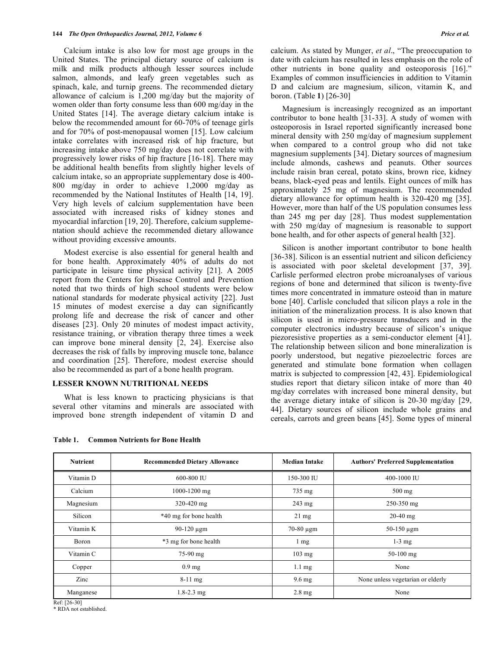Calcium intake is also low for most age groups in the United States. The principal dietary source of calcium is milk and milk products although lesser sources include salmon, almonds, and leafy green vegetables such as spinach, kale, and turnip greens. The recommended dietary allowance of calcium is 1,200 mg/day but the majority of women older than forty consume less than 600 mg/day in the United States [14]. The average dietary calcium intake is below the recommended amount for 60-70% of teenage girls and for 70% of post-menopausal women [15]. Low calcium intake correlates with increased risk of hip fracture, but increasing intake above 750 mg/day does not correlate with progressively lower risks of hip fracture [16-18]. There may be additional health benefits from slightly higher levels of calcium intake, so an appropriate supplementary dose is 400- 800 mg/day in order to achieve 1,2000 mg/day as recommended by the National Institutes of Health [14, 19]. Very high levels of calcium supplementation have been associated with increased risks of kidney stones and myocardial infarction [19, 20]. Therefore, calcium supplementation should achieve the recommended dietary allowance without providing excessive amounts.

 Modest exercise is also essential for general health and for bone health. Approximately 40% of adults do not participate in leisure time physical activity [21]. A 2005 report from the Centers for Disease Control and Prevention noted that two thirds of high school students were below national standards for moderate physical activity [22]. Just 15 minutes of modest exercise a day can significantly prolong life and decrease the risk of cancer and other diseases [23]. Only 20 minutes of modest impact activity, resistance training, or vibration therapy three times a week can improve bone mineral density [2, 24]. Exercise also decreases the risk of falls by improving muscle tone, balance and coordination [25]. Therefore, modest exercise should also be recommended as part of a bone health program.

#### **LESSER KNOWN NUTRITIONAL NEEDS**

 What is less known to practicing physicians is that several other vitamins and minerals are associated with improved bone strength independent of vitamin D and

calcium. As stated by Munger, *et al*., "The preoccupation to date with calcium has resulted in less emphasis on the role of other nutrients in bone quality and osteoporosis [16]." Examples of common insufficiencies in addition to Vitamin D and calcium are magnesium, silicon, vitamin K, and boron. (Table **1**) [26-30]

 Magnesium is increasingly recognized as an important contributor to bone health [31-33]. A study of women with osteoporosis in Israel reported significantly increased bone mineral density with 250 mg/day of magnesium supplement when compared to a control group who did not take magnesium supplements [34]. Dietary sources of magnesium include almonds, cashews and peanuts. Other sources include raisin bran cereal, potato skins, brown rice, kidney beans, black-eyed peas and lentils. Eight ounces of milk has approximately 25 mg of magnesium. The recommended dietary allowance for optimum health is 320-420 mg [35]. However, more than half of the US population consumes less than 245 mg per day [28]. Thus modest supplementation with 250 mg/day of magnesium is reasonable to support bone health, and for other aspects of general health [32].

 Silicon is another important contributor to bone health [36-38]. Silicon is an essential nutrient and silicon deficiency is associated with poor skeletal development [37, 39]. Carlisle performed electron probe microanalyses of various regions of bone and determined that silicon is twenty-five times more concentrated in immature osteoid than in mature bone [40]. Carlisle concluded that silicon plays a role in the initiation of the mineralization process. It is also known that silicon is used in micro-pressure transducers and in the computer electronics industry because of silicon's unique piezoresistive properties as a semi-conductor element [41]. The relationship between silicon and bone mineralization is poorly understood, but negative piezoelectric forces are generated and stimulate bone formation when collagen matrix is subjected to compression [42, 43]. Epidemiological studies report that dietary silicon intake of more than 40 mg/day correlates with increased bone mineral density, but the average dietary intake of silicon is 20-30 mg/day [29, 44]. Dietary sources of silicon include whole grains and cereals, carrots and green beans [45]. Some types of mineral

| <b>Nutrient</b> | <b>Recommended Dietary Allowance</b> | Median Intake    | <b>Authors' Preferred Supplementation</b> |
|-----------------|--------------------------------------|------------------|-------------------------------------------|
| Vitamin D       | 600-800 IU                           | 150-300 IU       | 400-1000 IU                               |
| Calcium         | 1000-1200 mg                         | $735 \text{ mg}$ | $500$ mg                                  |
| Magnesium       | 320-420 mg                           | $243 \text{ mg}$ | 250-350 mg                                |
| Silicon         | *40 mg for bone health               | $21 \text{ mg}$  | $20-40$ mg                                |
| Vitamin K       | $90-120 \mu$ gm                      | $70-80 \mu$ gm   | $50-150 \mu$ gm                           |
| <b>Boron</b>    | *3 mg for bone health                | $1 \text{ mg}$   | $1-3$ mg                                  |
| Vitamin C       | $75-90$ mg                           | $103 \text{ mg}$ | $50-100$ mg                               |
| Copper          | 0.9 <sub>mg</sub>                    | $1.1 \text{ mg}$ | None                                      |
| Zinc            | $8-11$ mg                            | $9.6 \text{ mg}$ | None unless vegetarian or elderly         |
| Manganese       | $1.8 - 2.3$ mg                       | $2.8 \text{ mg}$ | None                                      |

**Table 1. Common Nutrients for Bone Health** 

Ref: [26-30]

\* RDA not established.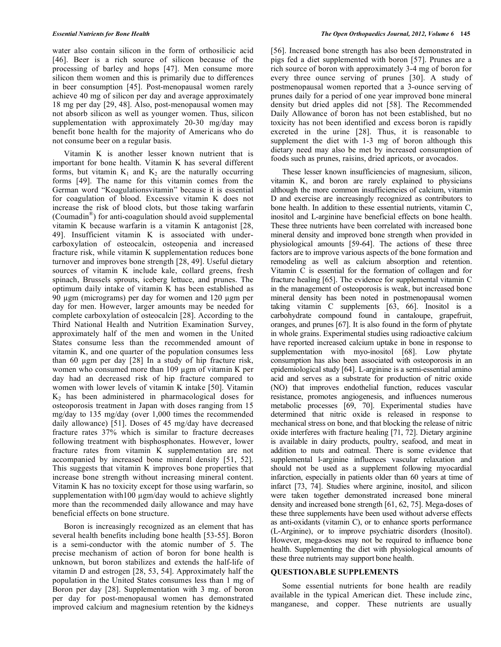water also contain silicon in the form of orthosilicic acid [46]. Beer is a rich source of silicon because of the processing of barley and hops [47]. Men consume more silicon them women and this is primarily due to differences in beer consumption [45]. Post-menopausal women rarely achieve 40 mg of silicon per day and average approximately 18 mg per day [29, 48]. Also, post-menopausal women may not absorb silicon as well as younger women. Thus, silicon supplementation with approximately 20-30 mg/day may benefit bone health for the majority of Americans who do not consume beer on a regular basis.

 Vitamin K is another lesser known nutrient that is important for bone health. Vitamin K has several different forms, but vitamin  $K_1$  and  $K_2$  are the naturally occurring forms [49]. The name for this vitamin comes from the German word "Koagulationsvitamin" because it is essential for coagulation of blood. Excessive vitamin K does not increase the risk of blood clots, but those taking warfarin (Coumadin®) for anti-coagulation should avoid supplemental vitamin K because warfarin is a vitamin K antagonist [28, 49]. Insufficient vitamin K is associated with undercarboxylation of osteocalcin, osteopenia and increased fracture risk, while vitamin K supplementation reduces bone turnover and improves bone strength [28, 49]. Useful dietary sources of vitamin K include kale, collard greens, fresh spinach, Brussels sprouts, iceberg lettuce, and prunes. The optimum daily intake of vitamin K has been established as 90  $\mu$ gm (micrograms) per day for women and 120  $\mu$ gm per day for men. However, larger amounts may be needed for complete carboxylation of osteocalcin [28]. According to the Third National Health and Nutrition Examination Survey, approximately half of the men and women in the United States consume less than the recommended amount of vitamin K, and one quarter of the population consumes less than 60  $\mu$ gm per day [28] In a study of hip fracture risk, women who consumed more than 109 µgm of vitamin K per day had an decreased risk of hip fracture compared to women with lower levels of vitamin K intake [50]. Vitamin  $K<sub>2</sub>$  has been administered in pharmacological doses for osteoporosis treatment in Japan with doses ranging from 15 mg/day to 135 mg/day (over 1,000 times the recommended daily allowance) [51]. Doses of 45 mg/day have decreased fracture rates 37% which is similar to fracture decreases following treatment with bisphosphonates. However, lower fracture rates from vitamin K supplementation are not accompanied by increased bone mineral density [51, 52]. This suggests that vitamin K improves bone properties that increase bone strength without increasing mineral content. Vitamin K has no toxicity except for those using warfarin, so supplementation with  $100 \mu$ gm/day would to achieve slightly more than the recommended daily allowance and may have beneficial effects on bone structure.

 Boron is increasingly recognized as an element that has several health benefits including bone health [53-55]. Boron is a semi-conductor with the atomic number of 5. The precise mechanism of action of boron for bone health is unknown, but boron stabilizes and extends the half-life of vitamin D and estrogen [28, 53, 54]. Approximately half the population in the United States consumes less than 1 mg of Boron per day [28]. Supplementation with 3 mg. of boron per day for post-menopausal women has demonstrated improved calcium and magnesium retention by the kidneys [56]. Increased bone strength has also been demonstrated in pigs fed a diet supplemented with boron [57]. Prunes are a rich source of boron with approximately 3-4 mg of boron for every three ounce serving of prunes [30]. A study of postmenopausal women reported that a 3-ounce serving of prunes daily for a period of one year improved bone mineral density but dried apples did not [58]. The Recommended Daily Allowance of boron has not been established, but no toxicity has not been identified and excess boron is rapidly excreted in the urine [28]. Thus, it is reasonable to supplement the diet with 1-3 mg of boron although this dietary need may also be met by increased consumption of foods such as prunes, raisins, dried apricots, or avocados.

 These lesser known insufficiencies of magnesium, silicon, vitamin K, and boron are rarely explained to physicians although the more common insufficiencies of calcium, vitamin D and exercise are increasingly recognized as contributors to bone health. In addition to these essential nutrients, vitamin C, inositol and L-arginine have beneficial effects on bone health. These three nutrients have been correlated with increased bone mineral density and improved bone strength when provided in physiological amounts [59-64]. The actions of these three factors are to improve various aspects of the bone formation and remodeling as well as calcium absorption and retention. Vitamin C is essential for the formation of collagen and for fracture healing [65]. The evidence for supplemental vitamin C in the management of osteoporosis is weak, but increased bone mineral density has been noted in postmenopausal women taking vitamin C supplements [63, 66]. Inositol is a carbohydrate compound found in cantaloupe, grapefruit, oranges, and prunes [67]. It is also found in the form of phytate in whole grains. Experimental studies using radioactive calcium have reported increased calcium uptake in bone in response to supplementation with myo-inositol [68]. Low phytate consumption has also been associated with osteoporosis in an epidemiological study [64]. L-arginine is a semi-essential amino acid and serves as a substrate for production of nitric oxide (NO) that improves endothelial function, reduces vascular resistance, promotes angiogenesis, and influences numerous metabolic processes [69, 70]. Experimental studies have determined that nitric oxide is released in response to mechanical stress on bone, and that blocking the release of nitric oxide interferes with fracture healing [71, 72]. Dietary arginine is available in dairy products, poultry, seafood, and meat in addition to nuts and oatmeal. There is some evidence that supplemental l-arginine influences vascular relaxation and should not be used as a supplement following myocardial infarction, especially in patients older than 60 years at time of infarct [73, 74]. Studies where arginine, inositol, and silicon were taken together demonstrated increased bone mineral density and increased bone strength [61, 62, 75]. Mega-doses of these three supplements have been used without adverse effects as anti-oxidants (vitamin C), or to enhance sports performance (L-Arginine), or to improve psychiatric disorders (Inositol). However, mega-doses may not be required to influence bone health. Supplementing the diet with physiological amounts of these three nutrients may support bone health.

#### **QUESTIONABLE SUPPLEMENTS**

 Some essential nutrients for bone health are readily available in the typical American diet. These include zinc, manganese, and copper. These nutrients are usually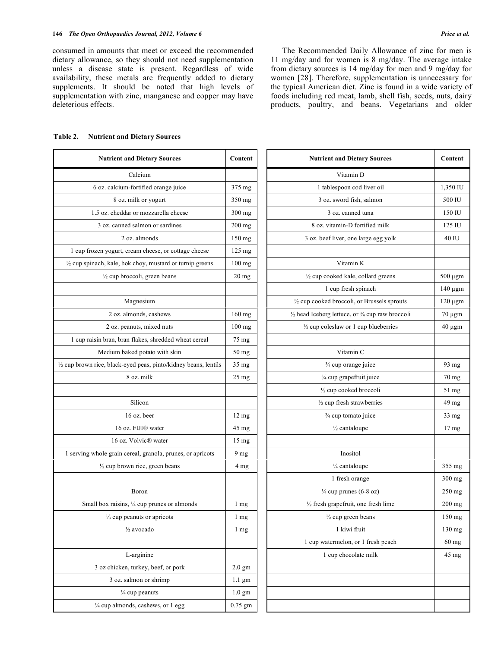consumed in amounts that meet or exceed the recommended dietary allowance, so they should not need supplementation unless a disease state is present. Regardless of wide availability, these metals are frequently added to dietary supplements. It should be noted that high levels of supplementation with zinc, manganese and copper may have deleterious effects.

 The Recommended Daily Allowance of zinc for men is 11 mg/day and for women is 8 mg/day. The average intake from dietary sources is 14 mg/day for men and 9 mg/day for women [28]. Therefore, supplementation is unnecessary for the typical American diet. Zinc is found in a wide variety of foods including red meat, lamb, shell fish, seeds, nuts, dairy products, poultry, and beans. Vegetarians and older

| <b>Nutrient and Dietary Sources</b>                                 | Content          | <b>Nutrient and Dietary Sources</b>               | Conten           |
|---------------------------------------------------------------------|------------------|---------------------------------------------------|------------------|
| Calcium                                                             |                  | Vitamin D                                         |                  |
| 6 oz. calcium-fortified orange juice                                | 375 mg           | 1 tablespoon cod liver oil                        | 1,350 II         |
| 8 oz. milk or yogurt                                                | 350 mg           | 3 oz. sword fish, salmon                          | 500 IU           |
| 1.5 oz. cheddar or mozzarella cheese                                | $300$ mg         | 3 oz. canned tuna                                 | 150 IU           |
| 3 oz. canned salmon or sardines                                     | $200$ mg         | 8 oz. vitamin-D fortified milk                    | 125 IU           |
| 2 oz. almonds                                                       | 150 mg           | 3 oz. beef liver, one large egg yolk              | 40 IU            |
| 1 cup frozen yogurt, cream cheese, or cottage cheese                | $125 \text{ mg}$ |                                                   |                  |
| $\frac{1}{2}$ cup spinach, kale, bok choy, mustard or turnip greens | $100$ mg         | Vitamin K                                         |                  |
| $\frac{1}{2}$ cup broccoli, green beans                             | $20$ mg          | 1/2 cup cooked kale, collard greens               | $500 \mu$ gn     |
|                                                                     |                  | 1 cup fresh spinach                               | 140 μgn          |
| Magnesium                                                           |                  | 1/2 cup cooked broccoli, or Brussels sprouts      | $120 \mu$ gn     |
| 2 oz. almonds, cashews                                              | $160$ mg         | 1/2 head Iceberg lettuce, or 3/4 cup raw broccoli | 70 μgm           |
| 2 oz. peanuts, mixed nuts                                           | $100$ mg         | $\frac{1}{2}$ cup coleslaw or 1 cup blueberries   | 40 µgm           |
| 1 cup raisin bran, bran flakes, shredded wheat cereal               | 75 mg            |                                                   |                  |
| Medium baked potato with skin                                       | $50 \text{ mg}$  | Vitamin C                                         |                  |
| 1/2 cup brown rice, black-eyed peas, pinto/kidney beans, lentils    | $35 \text{ mg}$  | 3/4 cup orange juice                              | 93 mg            |
| 8 oz. milk                                                          | $25 \text{ mg}$  | 3/4 cup grapefruit juice                          | 70 mg            |
|                                                                     |                  | 1/2 cup cooked broccoli                           | 51 mg            |
| Silicon                                                             |                  | $\frac{1}{2}$ cup fresh strawberries              | 49 mg            |
| 16 oz. beer                                                         | $12 \text{ mg}$  | 3/4 cup tomato juice                              | 33 mg            |
| 16 oz. FIJI® water                                                  | 45 mg            | $\frac{1}{2}$ cantaloupe                          | 17 <sub>mg</sub> |
| 16 oz. Volvic <sup>®</sup> water                                    | $15 \text{ mg}$  |                                                   |                  |
| 1 serving whole grain cereal, granola, prunes, or apricots          | 9 <sub>mg</sub>  | Inositol                                          |                  |
| $\frac{1}{2}$ cup brown rice, green beans                           | 4 mg             | 1/4 cantaloupe                                    | 355 mg           |
|                                                                     |                  | 1 fresh orange                                    | 300 mg           |
| Boron                                                               |                  | $\frac{1}{4}$ cup prunes (6-8 oz)                 | 250 mg           |
| Small box raisins, 1/4 cup prunes or almonds                        | 1 mg             | 1/2 fresh grapefruit, one fresh lime              | 200 mg           |
| $\frac{1}{3}$ cup peanuts or apricots                               | $1 \text{ mg}$   | $\frac{1}{2}$ cup green beans                     | 150 mg           |
| $\frac{1}{2}$ avocado                                               | $1 \text{ mg}$   | 1 kiwi fruit                                      | 130 mg           |
|                                                                     |                  | 1 cup watermelon, or 1 fresh peach                | 60 mg            |
| L-arginine                                                          |                  | 1 cup chocolate milk                              | 45 mg            |
| 3 oz chicken, turkey, beef, or pork                                 | $2.0$ gm         |                                                   |                  |
| 3 oz. salmon or shrimp                                              | $1.1$ gm         |                                                   |                  |
| 1/4 cup peanuts                                                     | $1.0$ gm         |                                                   |                  |
| 1/4 cup almonds, cashews, or 1 egg                                  | $0.75$ gm        |                                                   |                  |

| <b>Table 2.</b> | <b>Nutrient and Dietary Sources</b> |  |  |  |
|-----------------|-------------------------------------|--|--|--|
|-----------------|-------------------------------------|--|--|--|

| <b>Nutrient and Dietary Sources</b>                    | Content          | <b>Nutrient and Dietary Sources</b>                    | Content          |
|--------------------------------------------------------|------------------|--------------------------------------------------------|------------------|
| Calcium                                                |                  | Vitamin D                                              |                  |
| 6 oz. calcium-fortified orange juice                   | 375 mg           | 1 tablespoon cod liver oil                             | 1,350 IU         |
| 8 oz. milk or yogurt                                   | 350 mg           | 3 oz. sword fish, salmon                               | 500 IU           |
| 1.5 oz. cheddar or mozzarella cheese                   | 300 mg           | 3 oz. canned tuna                                      | 150 IU           |
| 3 oz. canned salmon or sardines                        | $200$ mg         | 8 oz. vitamin-D fortified milk                         | 125 IU           |
| 2 oz. almonds                                          | $150$ mg         | 3 oz. beef liver, one large egg yolk                   | 40 IU            |
| p frozen yogurt, cream cheese, or cottage cheese       | 125 mg           |                                                        |                  |
| spinach, kale, bok choy, mustard or turnip greens      | $100$ mg         | Vitamin K                                              |                  |
| 1/2 cup broccoli, green beans                          | $20 \text{ mg}$  | 1/2 cup cooked kale, collard greens                    | 500 µgm          |
|                                                        |                  | 1 cup fresh spinach                                    | 140 µgm          |
| Magnesium                                              |                  | $\frac{1}{2}$ cup cooked broccoli, or Brussels sprouts | $120 \mu$ gm     |
| 2 oz. almonds, cashews                                 | $160$ mg         | 1/2 head Iceberg lettuce, or 3/4 cup raw broccoli      | $70 \mu$ gm      |
| 2 oz. peanuts, mixed nuts                              | $100$ mg         | $\frac{1}{2}$ cup coleslaw or 1 cup blueberries        | $40 \mu$ gm      |
| p raisin bran, bran flakes, shredded wheat cereal      | 75 mg            |                                                        |                  |
| Medium baked potato with skin                          | $50 \text{ mg}$  | Vitamin C                                              |                  |
| own rice, black-eyed peas, pinto/kidney beans, lentils | 35 mg            | 3/4 cup orange juice                                   | 93 mg            |
| 8 oz. milk                                             | $25 \text{ mg}$  | 3/4 cup grapefruit juice                               | 70 mg            |
|                                                        |                  | $\frac{1}{2}$ cup cooked broccoli                      | 51 mg            |
| Silicon                                                |                  | $\frac{1}{2}$ cup fresh strawberries                   | 49 mg            |
| 16 oz. beer                                            | $12 \text{ mg}$  | 3/4 cup tomato juice                                   | 33 mg            |
| 16 oz. FIJI® water                                     | $45 \text{ mg}$  | 1/2 cantaloupe                                         | 17 <sub>mg</sub> |
| 16 oz. Volvic <sup>®</sup> water                       | $15 \text{ mg}$  |                                                        |                  |
| ing whole grain cereal, granola, prunes, or apricots   | $9 \text{ mg}$   | Inositol                                               |                  |
| $\frac{1}{2}$ cup brown rice, green beans              | 4 <sub>mg</sub>  | 1/4 cantaloupe                                         | 355 mg           |
|                                                        |                  | 1 fresh orange                                         | $300$ mg         |
| Boron                                                  |                  | $\frac{1}{4}$ cup prunes (6-8 oz)                      | $250$ mg         |
| Small box raisins, 1/4 cup prunes or almonds           | $1 \text{ mg}$   | $\frac{1}{2}$ fresh grapefruit, one fresh lime         | 200 mg           |
| 1/ <sub>3</sub> cup peanuts or apricots                | 1 mg             | $\frac{1}{2}$ cup green beans                          | 150 mg           |
| 1/2 avocado                                            | $1 \text{ mg}$   | 1 kiwi fruit                                           | $130$ mg         |
|                                                        |                  | 1 cup watermelon, or 1 fresh peach                     | $60$ mg          |
| L-arginine                                             |                  | 1 cup chocolate milk                                   | 45 mg            |
| 3 oz chicken, turkey, beef, or pork                    | $2.0$ gm         |                                                        |                  |
| 3 oz. salmon or shrimp                                 | $1.1 \text{ gm}$ |                                                        |                  |
| $\frac{1}{4}$ cup peanuts                              | $1.0$ gm         |                                                        |                  |
| 1/4 cup almonds, cashews, or 1 egg                     | $0.75$ gm        |                                                        |                  |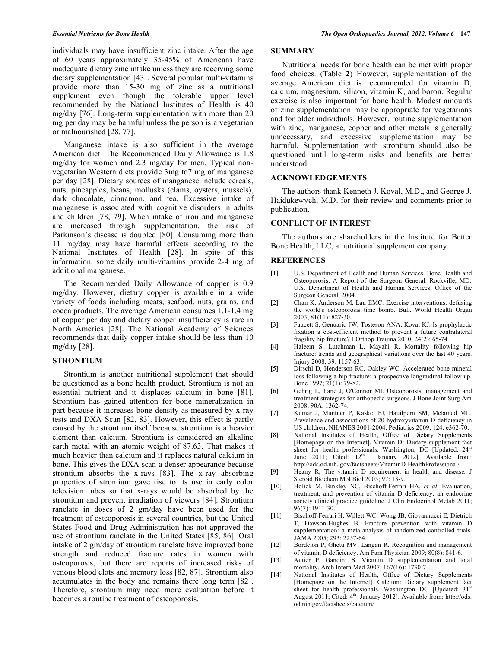individuals may have insufficient zinc intake. After the age of 60 years approximately 35-45% of Americans have inadequate dietary zinc intake unless they are receiving some dietary supplementation [43]. Several popular multi-vitamins provide more than 15-30 mg of zinc as a nutritional supplement even though the tolerable upper level recommended by the National Institutes of Health is 40 mg/day [76]. Long-term supplementation with more than 20 mg per day may be harmful unless the person is a vegetarian or malnourished [28, 77].

 Manganese intake is also sufficient in the average American diet. The Recommended Daily Allowance is 1.8 mg/day for women and 2.3 mg/day for men. Typical nonvegetarian Western diets provide 3mg to7 mg of manganese per day [28]. Dietary sources of manganese include cereals, nuts, pineapples, beans, mollusks (clams, oysters, mussels), dark chocolate, cinnamon, and tea. Excessive intake of manganese is associated with cognitive disorders in adults and children [78, 79]. When intake of iron and manganese are increased through supplementation, the risk of Parkinson's disease is doubled [80]. Consuming more than 11 mg/day may have harmful effects according to the National Institutes of Health [28]. In spite of this information, some daily multi-vitamins provide 2-4 mg of additional manganese.

 The Recommended Daily Allowance of copper is 0.9 mg/day. However, dietary copper is available in a wide variety of foods including meats, seafood, nuts, grains, and cocoa products. The average American consumes 1.1-1.4 mg of copper per day and dietary copper insufficiency is rare in North America [28]. The National Academy of Sciences recommends that daily copper intake should be less than 10 mg/day [28].

# **STRONTIUM**

 Strontium is another nutritional supplement that should be questioned as a bone health product. Strontium is not an essential nutrient and it displaces calcium in bone [81]. Strontium has gained attention for bone mineralization in part because it increases bone density as measured by x-ray tests and DXA Scan [82, 83]. However, this effect is partly caused by the strontium itself because strontium is a heavier element than calcium. Strontium is considered an alkaline earth metal with an atomic weight of 87.63. That makes it much heavier than calcium and it replaces natural calcium in bone. This gives the DXA scan a denser appearance because strontium absorbs the x-rays [83]. The x-ray absorbing properties of strontium gave rise to its use in early color television tubes so that x-rays would be absorbed by the strontium and prevent irradiation of viewers [84]. Strontium ranelate in doses of 2 gm/day have been used for the treatment of osteoporosis in several countries, but the United States Food and Drug Administration has not approved the use of strontium ranelate in the United States [85, 86]. Oral intake of 2 gm/day of strontium ranelate have improved bone strength and reduced fracture rates in women with osteoporosis, but there are reports of increased risks of venous blood clots and memory loss [82, 87]. Strontium also accumulates in the body and remains there long term [82]. Therefore, strontium may need more evaluation before it becomes a routine treatment of osteoporosis.

# **SUMMARY**

 Nutritional needs for bone health can be met with proper food choices. (Table **2**) However, supplementation of the average American diet is recommended for vitamin D, calcium, magnesium, silicon, vitamin K, and boron. Regular exercise is also important for bone health. Modest amounts of zinc supplementation may be appropriate for vegetarians and for older individuals. However, routine supplementation with zinc, manganese, copper and other metals is generally unnecessary, and excessive supplementation may be harmful. Supplementation with strontium should also be questioned until long-term risks and benefits are better understood.

## **ACKNOWLEDGEMENTS**

 The authors thank Kenneth J. Koval, M.D., and George J. Haidukewych, M.D. for their review and comments prior to publication.

### **CONFLICT OF INTEREST**

 The authors are shareholders in the Institute for Better Bone Health, LLC, a nutritional supplement company.

#### **REFERENCES**

- [1] U.S. Department of Health and Human Services. Bone Health and Osteoporosis: A Report of the Surgeon General. Rockville, MD: U.S. Department of Health and Human Services, Office of the Surgeon General, 2004.
- [2] Chan K, Anderson M, Lau EMC. Exercise interventions: defusing the world's osteoporosis time bomb. Bull. World Health Organ 2003; 81(11): 827-30.
- [3] Faucett S, Genuario JW, Tosteson ANA, Koval KJ. Is prophylactic fixation a cost-efficient method to prevent a future contralateral fragility hip fracture? J Orthop Trauma 2010; 24(2): 65-74.
- [4] Haleem S, Lutchman L, Mayahi R. Mortality following hip fracture: trends and geographical variations over the last 40 years. Injury 2008; 39: 1157-63.
- [5] Dirschl D, Henderson RC, Oakley WC. Accelerated bone mineral loss following a hip fracture: a prospective longitudinal follow-up. Bone 1997; 21(1): 79-82.
- [6] Gehrig L, Lane J, O'Connor MI. Osteoporosis: management and treatment strategies for orthopedic surgeons. J Bone Joint Surg Am 2008; 90A: 1362-74.
- [7] Kumar J, Muntner P, Kaskel FJ, Hauilpern SM, Melamed ML. Prevalence and associations of 20-hydroxyvitamin D deficiency in US children: NHANES 2001-2004. Pediatrics 2009; 124: e362-70.
- [8] National Institutes of Health, Office of Dietary Supplements [Homepage on the Internet]. Vitamin D: Dietary supplement fact sheet for health professionals. Washington, DC [Updated:  $24<sup>th</sup>$  June 2011; Cited:  $12<sup>th</sup>$  January 2012]. Available from: January 2012]. Available from: http://ods.od.nih. gov/factsheets/VitaminD-HealthProfessional/
- [9] Heany R, The vitamin D requirement in health and disease*.* J Steroid Biochem Mol Biol 2005; 97: 13-9.
- [10] Holick M, Binkley NC, Bischoff-Ferrari HA, *et al*. Evaluation, treatment, and prevention of vitamin D deficiency: an endocrine society clinical practice guideline. J Clin Endocrinol Metab 2011; 96(7): 1911-30.
- [11] Bischoff-Ferrari H, Willett WC, Wong JB, Giovannucci E, Dietrich T, Dawson-Hughes B. Fracture prevention with vitamin D supplementation: a meta-analysis of randomized controlled trials. JAMA 2005; 293: 2257-64.
- [12] Bordelon P, Ghetu MV, Langan R. Recognition and management of vitamin D deficiency. Am Fam Physician 2009; 80(8): 841-6.
- [13] Autier P, Gandini S. Vitamin D supplementation and total mortality. Arch Intern Med 2007; 167(16): 1730-7.
- [14] National Institutes of Health, Office of Dietary Supplements [Homepage on the Internet]. Calcium: Dietary supplement fact sheet for health professionals. Washington DC  $\widehat{U}$ pdated: 31<sup>st</sup> August 2011; Cited: 4<sup>th</sup> January 2012]. Available from: http://ods. od.nih.gov/factsheets/calcium/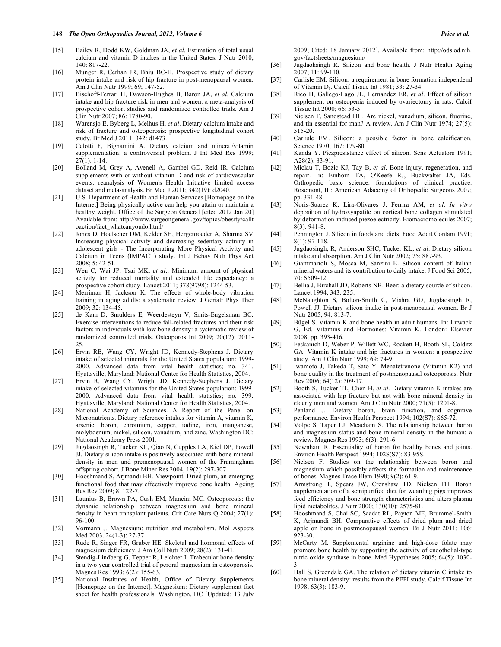- [15] Bailey R, Dodd KW, Goldman JA, *et al*. Estimation of total usual calcium and vitamin D intakes in the United States. J Nutr 2010; 140: 817-22.
- [16] Munger R, Cerhan JR, Bhiu BC-H. Prospective study of dietary protein intake and risk of hip fracture in post-menopausal women. Am J Clin Nutr 1999; 69; 147-52.
- [17] Bischoff-Ferrari H, Dawson-Hughes B, Baron JA, *et al*. Calcium intake and hip fracture risk in men and women: a meta-analysis of prospective cohort studies and randomized controlled trials. Am J Clin Nutr 2007; 86: 1780-90.
- [18] Warensjo E, Byberg L, Melhus H, *et al*. Dietary calcium intake and risk of fracture and osteoporosis: prospective longitudinal cohort study. Br Med J 2011; 342: d1473.
- [19] Celotti F, Bignamini A. Dietary calcium and mineral/vitamin supplementation: a controversial problem. J Int Med Res 1999; 27(1): 1-14.
- [20] Bolland M, Grey A, Avenell A, Gambel GD, Reid IR. Calcium supplements with or without vitamin D and risk of cardiovascular events: reanalysis of Women's Health Initiative limited access dataset and meta-analysis. Br Med J 2011; 342(19): d2040.
- [21] U.S. Department of Health and Human Services [Homepage on the Internet] Being physically active can help you attain or maintain a healthy weight. Office of the Surgeon General [cited 2012 Jan 20] Available from: http://www.surgeongeneral.gov/topics/obesity/callt oaction/fact\_whatcanyoudo.html/
- [22] Jones D, Hoelscher DM, Kelder SH, Hergenroeder A, Sharma SV Increasing physical activity and decreasing sedentary activity in adolescent girls - The Incorporating More Physical Activity and Calcium in Teens (IMPACT) study. Int J Behav Nutr Phys Act 2008; 5: 42-51.
- [23] Wen C, Wai JP, Tsai MK, *et al*., Minimum amount of physical activity for reduced mortality and extended life expectancy: a prospective cohort study. Lancet 2011; 378(9798): 1244-53.
- [24] Merriman H, Jackson K. The effects of whole-body vibration training in aging adults: a systematic review. J Geriatr Phys Ther 2009; 32: 134-45.
- [25] de Kam D, Smulders E, Weerdesteyn V, Smits-Engelsman BC. Exercise interventions to reduce fall-related fractures and their risk factors in individuals with low bone density: a systematic review of randomized controlled trials. Osteoporos Int 2009; 20(12): 2011- 25.
- [26] Ervin RB, Wang CY, Wright JD, Kennedy-Stephens J. Dietary intake of selected minerals for the United States population: 1999- 2000. Advanced data from vital health statistics; no. 341. Hyattsville, Maryland: National Center for Health Statistics, 2004.
- [27] Ervin R, Wang CY, Wright JD, Kennedy-Stephens J. Dietary intake of selected vitamins for the United States population: 1999- 2000. Advanced data from vital health statistics; no. 399. Hyattsville, Maryland: National Center for Health Statistics, 2004.
- [28] National Academy of Sciences. A Report of the Panel on Micronutrients. Dietary reference intakes for vitamin A, vitamin K, arsenic, boron, chromium, copper, iodine, iron, manganese, molybdenum, nickel, silicon, vanadium, and zinc. Washington DC: National Academy Press 2001.
- [29] Jugdaosingh R, Tucker KL, Qiao N, Cupples LA, Kiel DP, Powell JJ. Dietary silicon intake is positively associated with bone mineral density in men and premenopausal women of the Framingham offspring cohort. J Bone Miner Res 2004; 19(2): 297-307.
- [30] Hooshmand S, Arjmandi BH. Viewpoint: Dried plum, an emerging functional food that may effectively improve bone health. Ageing Res Rev 2009; 8: 122-7.
- [31] Launius B, Brown PA, Cush EM, Mancini MC. Osteoporosis: the dynamic relationship between magnesium and bone mineral density in heart transplant patients. Crit Care Nurs Q 2004; 27(1): 96-100.
- [32] Vormann J. Magnesium: nutrition and metabolism. Mol Aspects Med 2003. 24(1-3): 27-37.
- [33] Rude R, Singer FR, Gruber HE. Skeletal and hormonal effects of magnesium deficiency. J Am Coll Nutr 2009; 28(2): 131-41.
- [34] Stendig-Lindberg G, Tepper R, Leichter I. Trabecular bone density in a two year controlled trial of peroral magnesium in osteoporosis*.* Magnes Res 1993; 6(2): 155-63.
- [35] National Institutes of Health, Office of Dietary Supplements [Homepage on the Internet]. Magnesium: Dietary supplement fact sheet for health professionals. Washington, DC [Updated: 13 July

2009; Cited: 18 January 2012]. Available from: http://ods.od.nih. gov/factsheets/magnesium/

- [36] Jugdaohsingh R. Silicon and bone health. J Nutr Health Aging 2007; 11: 99-110.
- [37] Carlisle EM. Silicon: a requirement in bone formation independend of Vitamin  $D_1$ . Calcif Tissue Int 1981; 33: 27-34.
- [38] Rico H, Gallego-Lago JL, Hernandez ER, *et al*. Effect of silicon supplement on osteopenia induced by ovariectomy in rats. Calcif Tissue Int 2000; 66: 53-5
- [39] Nielsen F, Sandstead HH. Are nickel, vanadium, silicon, fluorine, and tin essential for man? A review. Am J Clin Nutr 1974; 27(5): 515-20.
- [40] Carlisle EM. Silicon: a possible factor in bone calcification*.* Science 1970; 167: 179-80.
- [41] Kanda Y. Piezpresistance effect of silicon. Sens Actuators 1991; A28(2): 83-91.
- [42] Miclau T, Bozic KJ, Tay B, *et al*. Bone injury, regeneration, and repair. In: Einhorn TA, O'Keefe RJ, Buckwalter JA, Eds. Orthopedic basic science: foundations of clinical practice. Rosemont, IL: American Adacemy of Orthopedic Surgeons 2007; pp. 331-48.
- [43] Noris-Suarez K, Lira-Olivares J, Ferrira AM, *et al*. *In vitro* deposition of hydroxyapatite on cortical bone collagen stimulated by deformation-induced piezoelectricity. Biomacromolecules 2007; 8(3): 941-8.
- [44] Pennington J. Silicon in foods and diets. Food Addit Contam 1991; 8(1): 97-118.
- [45] Jugdaosingh, R, Anderson SHC, Tucker KL, *et al*. Dietary silicon intake and absorption. Am J Clin Nutr 2002; 75: 887-93.
- [46] Giammarioli S, Mosca M, Sanzini E. Silicon content of Italian mineral waters and its contribution to daily intake. J Food Sci 2005; 70: S509-12.
- [47] Bellia J, Birchall JD, Roberts NB. Beer: a dietary sourde of silicon. Lancet 1994; 343: 235.
- [48] McNaughton S, Bolton-Smith C, Mishra GD, Jugdaosingh R, Powell JJ. Dietary silicon intake in post-menopausal women. Br J Nutr 2005; 94: 813-7.
- [49] Bügel S. Vitamin K and bone health in adult humans. In: Litwack G, Ed. Vitamins and Hormones: Vitamin K. London: Elsevier 2008; pp. 393-416.
- [50] Feskanich D, Weber P, Willett WC, Rockett H, Booth SL, Colditz GA. Vitamin K intake and hip fractures in women: a prospective study. Am J Clin Nutr 1999; 69: 74-9.
- [51] Iwamoto J, Takeda T, Sato Y. Menatetrenone (Vitamin K2) and bone quality in the treatment of postmenopausal osteoporosis. Nutr Rev 2006; 64(12): 509-17.
- [52] Booth S, Tucker TL, Chen H, *et al*. Dietary vitamin K intakes are associated with hip fracture but not with bone mineral density in elderly men and women. Am J Clin Nutr 2000; 71(5): 1201-8.
- [53] Penland J. Dietary boron, brain function, and cognitive performance. Environ Health Perspect 1994; 102(S7): S65-72.
- [54] Volpe S, Taper LJ, Meacham S. The relationship between boron and magnesium status and bone mineral density in the human: a review. Magnes Res 1993; 6(3): 291-6.
- [55] Newnham R. Essentiality of boron for healthy bones and joints. Environ Health Perspect 1994; 102S(S7): 83-95S.
- [56] Nielsen F. Studies on the relationship between boron and magnesium which possibly affects the formation and maintenance of bones. Magnes Trace Elem 1990; 9(2): 61-9.
- [57] Armstrong T, Spears JW, Crenshaw TD, Nielsen FH. Boron supplementation of a semipurified diet for weanling pigs improves feed efficiency and bone strength characteristics and alters plasma lipid metabolites. J Nutr 2000; 130(10): 2575-81.
- [58] Hooshmand S, Chai SC, Saadat RL, Payton ME, Brummel-Smith K, Arjmandi BH. Comparative effects of dried plum and dried apple on bone in postmenopausal women*.* Br J Nutr 2011; 106:  $923 - 30$ .
- [59] McCarty M. Supplemental arginine and high-dose folate may promote bone health by supporting the activity of endothelial-type nitric oxide synthase in bone. Med Hypotheses 2005; 64(5): 1030- 3.
- [60] Hall S, Greendale GA. The relation of dietary vitamin C intake to bone mineral density: results from the PEPI study. Calcif Tissue Int 1998; 63(3): 183-9.